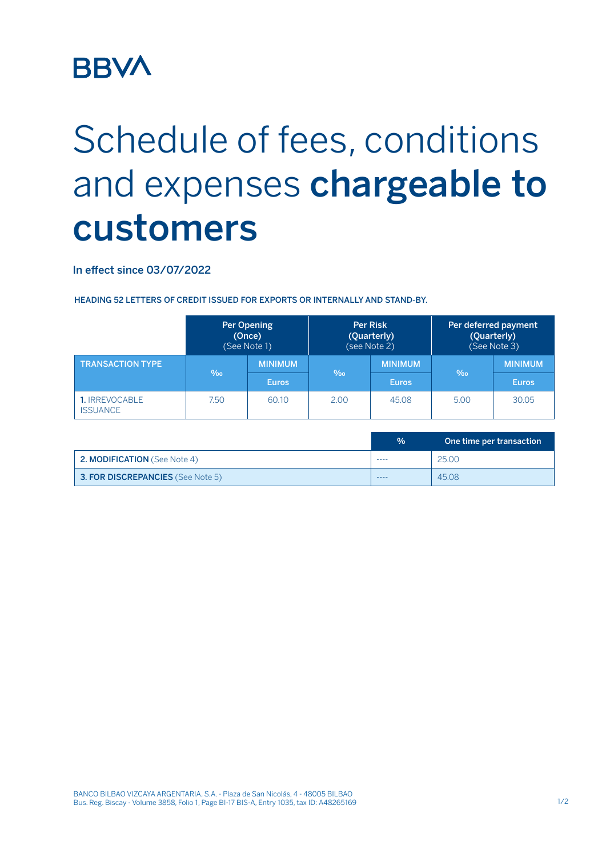## **BBV/**

## Schedule of fees, conditions and expenses **chargeable to customers**

In effect since 03/07/2022

HEADING 52 LETTERS OF CREDIT ISSUED FOR EXPORTS OR INTERNALLY AND STAND-BY.

|                                   | Per Opening<br>(Once)<br>(See Note 1) |                | <b>Per Risk</b><br>(Quarterly)<br>(see Note 2) |                | Per deferred payment<br>(Quarterly)<br>(See Note 3) |                |
|-----------------------------------|---------------------------------------|----------------|------------------------------------------------|----------------|-----------------------------------------------------|----------------|
| <b>TRANSACTION TYPE</b>           | $\%$                                  | <b>MINIMUM</b> | $\%$                                           | <b>MINIMUM</b> | $\%$                                                | <b>MINIMUM</b> |
|                                   |                                       | <b>Euros</b>   |                                                | <b>Euros</b>   |                                                     | <b>Euros</b>   |
| 1. IRREVOCABLE<br><b>ISSUANCE</b> | 7.50                                  | 60.10          | 2.00                                           | 45.08          | 5.00                                                | 30.05          |

|                                     | $\frac{0}{0}$ | One time per transaction' |
|-------------------------------------|---------------|---------------------------|
| <b>2. MODIFICATION</b> (See Note 4) | ----          | 25.00                     |
| 3. FOR DISCREPANCIES (See Note 5)   | ----          | 45.08                     |